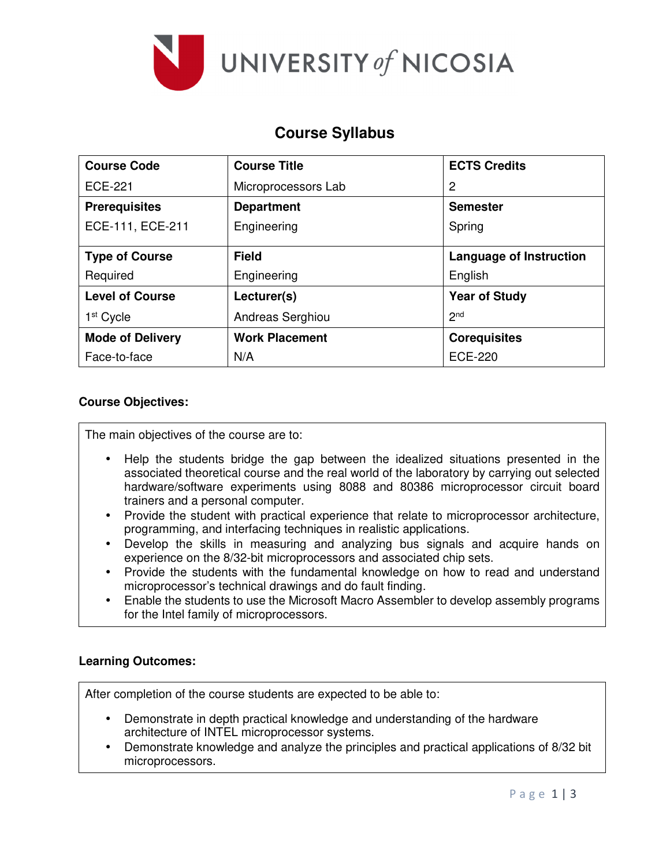

# **Course Syllabus**

| <b>Course Code</b>      | <b>Course Title</b>   | <b>ECTS Credits</b>            |
|-------------------------|-----------------------|--------------------------------|
| ECE-221                 | Microprocessors Lab   | 2                              |
| <b>Prerequisites</b>    | <b>Department</b>     | <b>Semester</b>                |
| ECE-111, ECE-211        | Engineering           | Spring                         |
| <b>Type of Course</b>   | <b>Field</b>          | <b>Language of Instruction</b> |
| Required                | Engineering           | English                        |
| <b>Level of Course</b>  | Lecturer(s)           | <b>Year of Study</b>           |
| 1 <sup>st</sup> Cycle   | Andreas Serghiou      | 2 <sub>nd</sub>                |
| <b>Mode of Delivery</b> | <b>Work Placement</b> | <b>Corequisites</b>            |
| Face-to-face            | N/A                   | <b>ECE-220</b>                 |

#### **Course Objectives:**

The main objectives of the course are to:

- Help the students bridge the gap between the idealized situations presented in the associated theoretical course and the real world of the laboratory by carrying out selected hardware/software experiments using 8088 and 80386 microprocessor circuit board trainers and a personal computer.
- Provide the student with practical experience that relate to microprocessor architecture, programming, and interfacing techniques in realistic applications.
- Develop the skills in measuring and analyzing bus signals and acquire hands on experience on the 8/32-bit microprocessors and associated chip sets.
- Provide the students with the fundamental knowledge on how to read and understand microprocessor's technical drawings and do fault finding.
- Enable the students to use the Microsoft Macro Assembler to develop assembly programs for the Intel family of microprocessors.

## **Learning Outcomes:**

After completion of the course students are expected to be able to:

- Demonstrate in depth practical knowledge and understanding of the hardware architecture of INTEL microprocessor systems.
- Demonstrate knowledge and analyze the principles and practical applications of 8/32 bit microprocessors.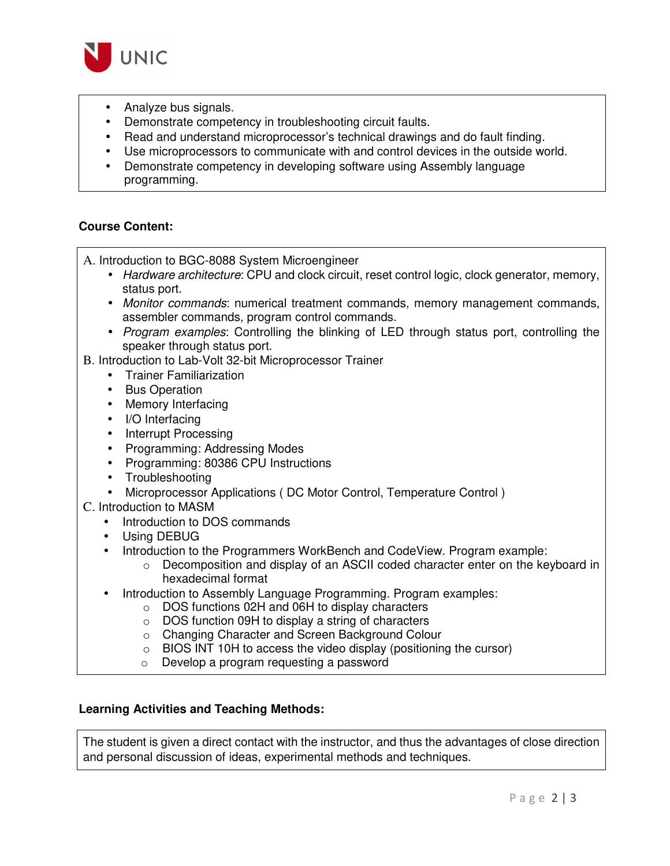

- Analyze bus signals.
- Demonstrate competency in troubleshooting circuit faults.
- Read and understand microprocessor's technical drawings and do fault finding.
- Use microprocessors to communicate with and control devices in the outside world.
- Demonstrate competency in developing software using Assembly language programming.

# **Course Content:**

A. Introduction to BGC-8088 System Microengineer

- Hardware architecture: CPU and clock circuit, reset control logic, clock generator, memory, status port.
- Monitor commands: numerical treatment commands, memory management commands, assembler commands, program control commands.
- Program examples: Controlling the blinking of LED through status port, controlling the speaker through status port.

B. Introduction to Lab-Volt 32-bit Microprocessor Trainer

- Trainer Familiarization
- Bus Operation
- Memory Interfacing
- I/O Interfacing
- Interrupt Processing
- Programming: Addressing Modes
- Programming: 80386 CPU Instructions
- Troubleshooting
- Microprocessor Applications ( DC Motor Control, Temperature Control )
- C. Introduction to MASM
	- Introduction to DOS commands
	- Using DEBUG
	- Introduction to the Programmers WorkBench and CodeView. Program example:
		- $\circ$  Decomposition and display of an ASCII coded character enter on the keyboard in hexadecimal format
	- Introduction to Assembly Language Programming. Program examples:
		- o DOS functions 02H and 06H to display characters
			- o DOS function 09H to display a string of characters
			- o Changing Character and Screen Background Colour
			- o BIOS INT 10H to access the video display (positioning the cursor)
			- o Develop a program requesting a password

## **Learning Activities and Teaching Methods:**

The student is given a direct contact with the instructor, and thus the advantages of close direction and personal discussion of ideas, experimental methods and techniques.